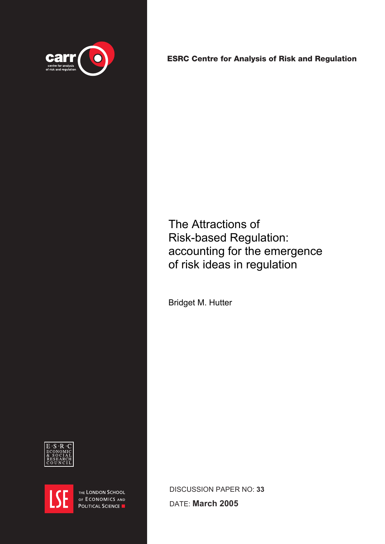

[ESRC Centre for Analysis of Risk and Regulation](http://www.lse.ac.uk/depts/carr)

The Attractions of Risk-based Regulation: accounting for the emergence of risk ideas in regulation

Bridget M. Hutter





THE LONDON SCHOOL OF ECONOMICS AND POLITICAL SCIENCE

DISCUSSION PAPER NO: **33**

DATE: **March 2005**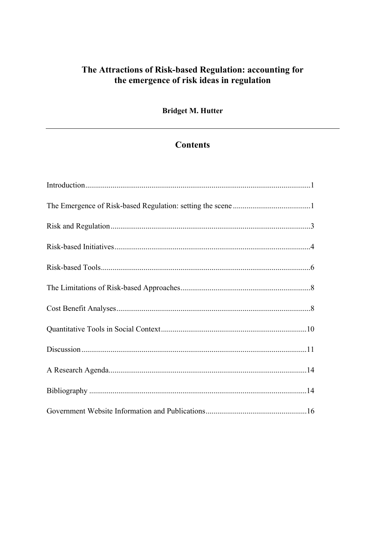# The Attractions of Risk-based Regulation: accounting for the emergence of risk ideas in regulation

**Bridget M. Hutter** 

# **Contents**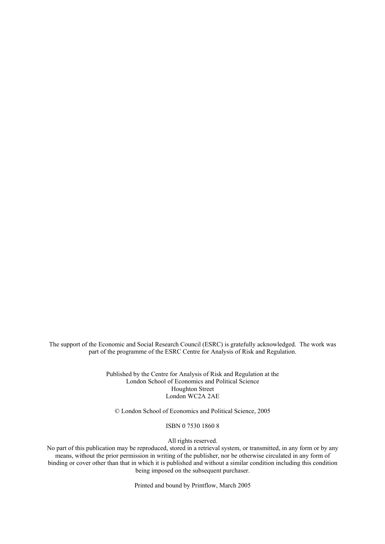The support of the Economic and Social Research Council (ESRC) is gratefully acknowledged. The work was part of the programme of the ESRC Centre for Analysis of Risk and Regulation.

> Published by the Centre for Analysis of Risk and Regulation at the London School of Economics and Political Science Houghton Street London WC2A 2AE

© London School of Economics and Political Science, 2005

ISBN 0 7530 1860 8

All rights reserved.

No part of this publication may be reproduced, stored in a retrieval system, or transmitted, in any form or by any means, without the prior permission in writing of the publisher, nor be otherwise circulated in any form of binding or cover other than that in which it is published and without a similar condition including this condition being imposed on the subsequent purchaser.

Printed and bound by Printflow, March 2005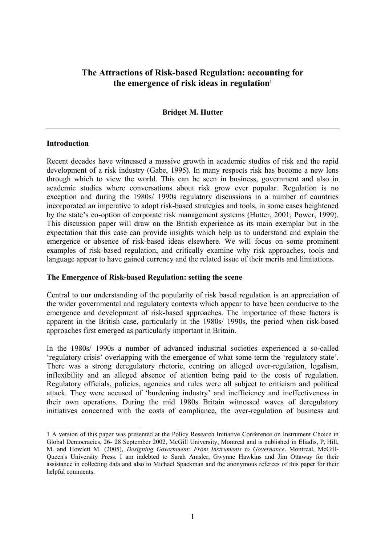# <span id="page-3-0"></span>**The Attractions of Risk-based Regulation: accounting for**  the emergence of risk ideas in regulation<sup>1</sup>

## **Bridget M. Hutter**

### **Introduction**

 $\overline{a}$ 

Recent decades have witnessed a massive growth in academic studies of risk and the rapid development of a risk industry (Gabe, 1995). In many respects risk has become a new lens through which to view the world. This can be seen in business, government and also in academic studies where conversations about risk grow ever popular. Regulation is no exception and during the 1980s/ 1990s regulatory discussions in a number of countries incorporated an imperative to adopt risk-based strategies and tools, in some cases heightened by the state's co-option of corporate risk management systems (Hutter, 2001; Power, 1999). This discussion paper will draw on the British experience as its main exemplar but in the expectation that this case can provide insights which help us to understand and explain the emergence or absence of risk-based ideas elsewhere. We will focus on some prominent examples of risk-based regulation, and critically examine why risk approaches, tools and language appear to have gained currency and the related issue of their merits and limitations.

### **The Emergence of Risk-based Regulation: setting the scene**

Central to our understanding of the popularity of risk based regulation is an appreciation of the wider governmental and regulatory contexts which appear to have been conducive to the emergence and development of risk-based approaches. The importance of these factors is apparent in the British case, particularly in the 1980s/ 1990s, the period when risk-based approaches first emerged as particularly important in Britain.

In the 1980s/ 1990s a number of advanced industrial societies experienced a so-called 'regulatory crisis' overlapping with the emergence of what some term the 'regulatory state'. There was a strong deregulatory rhetoric, centring on alleged over-regulation, legalism, inflexibility and an alleged absence of attention being paid to the costs of regulation. Regulatory officials, policies, agencies and rules were all subject to criticism and political attack. They were accused of 'burdening industry' and inefficiency and ineffectiveness in their own operations. During the mid 1980s Britain witnessed waves of deregulatory initiatives concerned with the costs of compliance, the over-regulation of business and

<sup>1</sup> A version of this paper was presented at the Policy Research Initiative Conference on Instrument Choice in Global Democracies, 26- 28 September 2002, McGill University, Montreal and is published in Eliadis, P, Hill, M. and Howlett M. (2005), *Designing Government: From Instruments to Governance*. Montreal, McGill-Queen's University Press. I am indebted to Sarah Amsler, Gwynne Hawkins and Jim Ottaway for their assistance in collecting data and also to Michael Spackman and the anonymous referees of this paper for their helpful comments.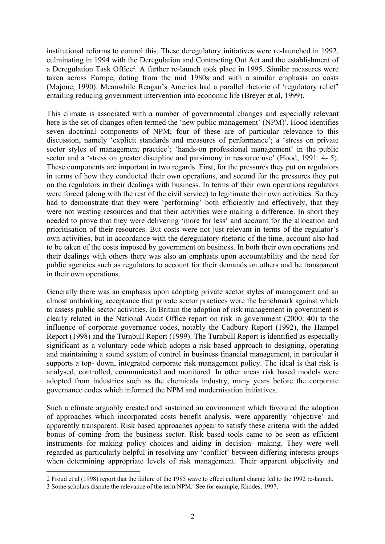<span id="page-4-0"></span>institutional reforms to control this. These deregulatory initiatives were re-launched in 1992, culminating in 1994 with the Deregulation and Contracting Out Act and the establishment of a Deregulation Task Office<sup>2</sup>. A further re-launch took place in 1995. Similar measures were taken across Europe, dating from the mid 1980s and with a similar emphasis on costs (Majone, 1990). Meanwhile Reagan's America had a parallel rhetoric of 'regulatory relief' entailing reducing government intervention into economic life (Breyer et al, 1999).

This climate is associated with a number of governmental changes and especially relevant here is the set of changes often termed the 'new public management' (NPM)<sup>3</sup>. Hood identifies seven doctrinal components of NPM; four of these are of particular relevance to this discussion, namely 'explicit standards and measures of performance'; a 'stress on private sector styles of management practice'; 'hands-on professional management' in the public sector and a 'stress on greater discipline and parsimony in resource use' (Hood, 1991: 4- 5). These components are important in two regards. First, for the pressures they put on regulators in terms of how they conducted their own operations, and second for the pressures they put on the regulators in their dealings with business. In terms of their own operations regulators were forced (along with the rest of the civil service) to legitimate their own activities. So they had to demonstrate that they were 'performing' both efficiently and effectively, that they were not wasting resources and that their activities were making a difference. In short they needed to prove that they were delivering 'more for less' and account for the allocation and prioritisation of their resources. But costs were not just relevant in terms of the regulator's own activities, but in accordance with the deregulatory rhetoric of the time, account also had to be taken of the costs imposed by government on business. In both their own operations and their dealings with others there was also an emphasis upon accountability and the need for public agencies such as regulators to account for their demands on others and be transparent in their own operations.

Generally there was an emphasis upon adopting private sector styles of management and an almost unthinking acceptance that private sector practices were the benchmark against which to assess public sector activities. In Britain the adoption of risk management in government is clearly related in the National Audit Office report on risk in government (2000: 40) to the influence of corporate governance codes, notably the Cadbury Report (1992), the Hampel Report (1998) and the Turnbull Report (1999). The Turnbull Report is identified as especially significant as a voluntary code which adopts a risk based approach to designing, operating and maintaining a sound system of control in business financial management, in particular it supports a top- down, integrated corporate risk management policy. The ideal is that risk is analysed, controlled, communicated and monitored. In other areas risk based models were adopted from industries such as the chemicals industry, many years before the corporate governance codes which informed the NPM and modernisation initiatives.

Such a climate arguably created and sustained an environment which favoured the adoption of approaches which incorporated costs benefit analysis, were apparently 'objective' and apparently transparent. Risk based approaches appear to satisfy these criteria with the added bonus of coming from the business sector. Risk based tools came to be seen as efficient instruments for making policy choices and aiding in decision- making. They were well regarded as particularly helpful in resolving any 'conflict' between differing interests groups when determining appropriate levels of risk management. Their apparent objectivity and

 $\overline{a}$ 

<sup>2</sup> Froud et al (1998) report that the failure of the 1985 wave to effect cultural change led to the 1992 re-launch.

<sup>3</sup> Some scholars dispute the relevance of the term NPM. See for example, Rhodes, 1997.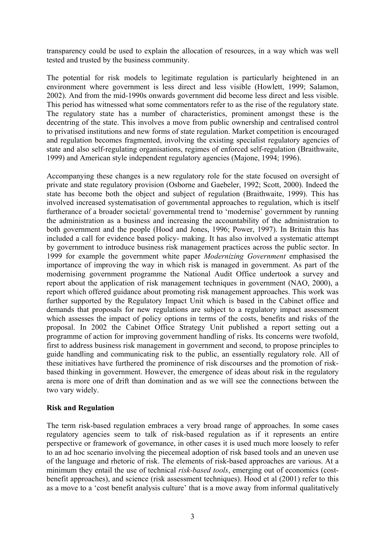transparency could be used to explain the allocation of resources, in a way which was well tested and trusted by the business community.

The potential for risk models to legitimate regulation is particularly heightened in an environment where government is less direct and le[ss](#page-5-0) visible (Howlett, 1999; Salamon, 2002). And from the mid-1990s onwards government did become less direct and less visible. This period has witnessed what some commentators refer to as the rise of the regulatory state. The regulatory state has a number of characteristics, prominent amongst these is the decentring of the state. This involves a move from public ownership and centralised control to privatised institutions and new forms of state regulation. Market competition is encouraged and regulation becomes fragmented, involving the existing specialist regulatory agencies of state and also self-regulating organisations, regimes of enforced self-regulation (Braithwaite, 1999) and American style independent regulatory agencies (Majone, 1994; 1996).

Accompanying these changes is a new regulatory role for the state focused on oversight of private and state regulatory provision (Osborne and Gaebeler, 1992; Scott, 2000). Indeed the state has become both the object and subject of regulation (Braithwaite, 1999). This has involved increased systematisation of governmental approaches to regulation, which is itself furtherance of a broader societal/ governmental trend to 'modernise' government by running the administration as a business and increasing the accountability of the administration to both government and the people (Hood and Jones, 1996; Power, 1997). In Britain this has included a call for evidence based policy- making. It has also involved a systematic attempt by government to introduce business risk management practices across the public sector. In 1999 for example the government white paper *Modernizing Government* emphasised the importance of improving the way in which risk is managed in government. As part of the modernising government programme the National Audit Office undertook a survey and report about the application of risk management techniques in government (NAO, 2000), a report which offered guidance about promoting risk management approaches. This work was further supported by the Regulatory Impact Unit which is based in the Cabinet office and demands that proposals for new regulations are subject to a regulatory impact assessment which assesses the impact of policy options in terms of the costs, benefits and risks of the proposal. In 2002 the Cabinet Office Strategy Unit published a rep[or](#page-6-1)t setting out a programme of action for improving government handling of risks. Its concerns were twofold, first to address business risk management in government and second, to propose principles to guide handling and communicating risk to the public, an essentially regulatory role. All of these initiatives have furthered the prominence of risk discourses and the promotion of riskbased thinking in government. However, the emergence of ideas about risk in the regulatory arena is more one of drift than domination and as we will see the connections between the two vary widely.

### **Risk and Regulation**

<span id="page-5-0"></span>The term risk-based regulation embraces a very broad range of approaches. In some cases regulatory agencies seem to talk of risk-based regulation as if it represents an entire perspective or framework of governance, in other cases it is used much more loosely to refer to an ad hoc scenario involving the piecemeal adoption of risk based tools and an uneven use of the language and rhetoric of risk. The elements of risk-based approaches are various. At a minimum they entail the use of technical *risk-based tools*, emerging out of economics (costbenefit approaches), and science (risk assessment techniques). Hood et al (2001) refer to this as a move to a 'cost benefit analysis culture' that is a move away from informal qualitatively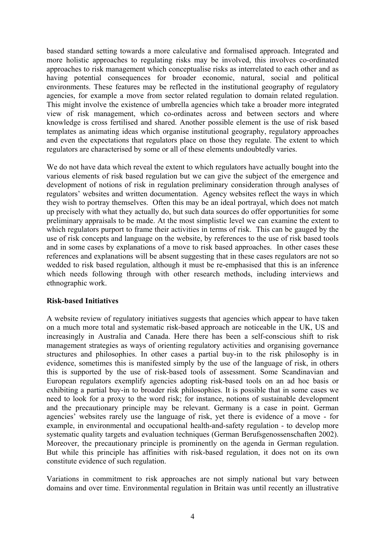<span id="page-6-0"></span>based standard setting towards a more calculative and formalised approach. Integrated and more holistic approaches to regulating risks may be involved, this involves co-ordinated approaches to risk management which conceptualise risks as interrelated to each other and as having potential consequences for broader economic, natural, social and political environments. These features may be reflected in the institutional geography of regulatory agencies, for example a move from sector related regulation to domain related regulation. This might involve the existence of umbrella agencies which take a broader more integrated view of risk management, which co-ordinates across and between sectors and where knowle[dg](#page-6-2)e is cross fertilised and shared. Another possible element is the use of risk based templates as animating ideas which organise institutional geography, regulatory approaches and even the expectat[io](#page-6-3)ns that regulators place on those they regulate. The extent to which regulators are characterised by some or all of these elements undoubtedly varies.

We do not have data which reveal the extent to which regulators have actually bought into the various elements of risk based regulation but we can give the subject of the emergence and development of notions of risk in regulation preliminary consideration through analyses of regulators' websites and written documentation. Agency websites reflect the ways in which they wish to portray themselves. Often this may be an ideal portrayal, which does not match up precisely with what they actually do, but such data sources do offer opportunities for some preliminary appraisals to be made. At the most simplistic level we can examine the extent to which regulators purport to frame their activities in terms of risk. This can be gauged by the use of risk concepts and language on the website, by references to the use of risk based tools and in some cases by explanations of a move to risk based approaches. In other cases these references and explanations will be absent suggesting that in these cases regulators are not so wedded to risk based regulation, although it must be re-emphasised that this is an inference which needs following through with other research methods, including interviews and ethnographic work.

### **Risk-based Initiatives**

A website review of regulatory initiatives suggests that agencies which appear to have taken on a much more total and systematic risk-based approach are noticeable in the UK, US and increasingly in Australia and Canada. Here there has been a self-conscious shift to risk management strategies as ways of orienting regulatory activities and organising governance structures and philosophies. In other cases a partial buy-in to the risk philosophy is in evidence, sometimes this is manifested simply by the use of the language of risk, in others this is supported by the use of risk-based tools of assessment. Some Scandinavian and European regulators exemplify agencies adopting risk-based tools on an ad hoc basis or exhibiting a partial buy-in to broader risk philosophies. It is possible that in some cases we need to look for a proxy to the word risk; for instance, notions of sustainable development and the precautionary principle may be relevant. Germany is a case in point. German agencies' websites rarely use the language of risk, yet there is evidence of a move - for example, in environmental and occupational health-and-safety regulation - to develop more systematic quality targets and evaluation techniques (German Berufsgenossenschaften 2002). Moreover, the precautionary principle is prominently on the agenda in German regulation. But while this principle has affinities with risk-based regulation, it does not on its own constitute evidence of such regulation.

<span id="page-6-3"></span><span id="page-6-2"></span><span id="page-6-1"></span>Variations in commitment to risk approaches are not simply national but vary between domains and over time. Environmental regulation in Britain was until recently an illustrative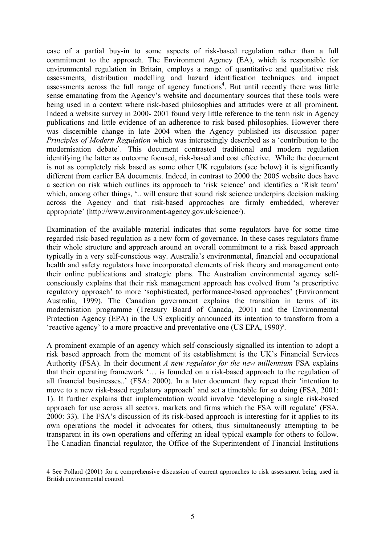case of a partial buy-in to some aspects of risk-based regulation rather than a full commitment to the approach. The Environment Agency (EA), which is responsible for environmental regulation in Britain, employs a range of quantitative and qualitative risk assessments, distribution modelling and hazard identification techniques and impact assessments across the full range of agency functions<sup>4</sup>. But until recently there was little sense emanating from the Agency's website and documentary sources that these tools were being used in a context where risk-based philosophies and attitudes were at all prominent. Indeed a website survey in 2000- 2001 found very little reference to the term risk in Agency publications and little evidence of an adherence to risk based philosophies. However there was discernible change in late 2004 when the Agency published its discussion paper *Principles of Modern Regulation* which was interestingly described as a 'contribution to the modernisation debate'. This document contrasted traditional and modern regulation identifying the latter as outcome focused, risk-based and cost effective. While the document is not as completely risk based as some other UK regulators (see below) it is significantly different from earlier EA documents. Indeed, in contrast to 2000 the 2005 website does have a section on risk which outlines its approach to 'risk science' and identifies a 'Risk team' which, among other things, '.. will ensure that sound risk science underpins decision making across the Agency and that risk-based approaches are firmly embedded, wherever appropriate' (http://www.environment-agency.gov.uk/science/).

Examination of the available material indicates that some regulators have for some time regarded risk-based regulation as a new form of governance. In these cases regulators frame their whole structure and approach around an overall commitment to a risk based approach typically in a very self-conscious way. Australia's environmental, financial and occupational health and safety regulators have incorporated elements of risk theory and management onto their online publications and strategic plans. The Australian environmental agency selfconsciously explains that their risk management approach has evolved from 'a prescriptive regulatory approach' to more 'sophisticated, performance-based approaches' (Environment Australia, 1999). The Canadian government explains the transition in terms of its modernisation programme (Treasury Board of Canada, 2001) and the Environmental Protection Agency (EPA) in the US explicitly announced its intention to transform from a 'reactive agency' to a more proactive and preventative one  $(US EPA, 1990)^5$ .

A prominent example of an agency which self-consciously signalled its intention to adopt a risk based approach from the moment of its establishment is the UK's Financial Services Authority (FSA). In their document *A new regulator for the new millennium* FSA explains that their operating framework '… is founded on a risk-based approach to the regulation of all financial businesses..' (FSA: 2000). In a later document they repeat their 'intention to move to a new risk-based regulatory approach' and set a timetable for so doing (FSA, 2001: 1). It further explains that implementation would involve 'developing a single risk-based approach for use across all sectors, markets and firms which the FSA will regulate' (FSA, 2000: 33). The FSA's discussion of its risk-based approach is interesting for it applies to its own operations the model it advocates for others, thus simultaneously attempting to be transparent in its own operations and offering an ideal typical example for others to follow. The Canadian financial regulator, the Office of the Superintendent of Financial Institutions

 $\overline{a}$ 

<sup>4</sup> See Pollard (2001) for a comprehensive discussion of current approaches to risk assessment being used in British environmental control.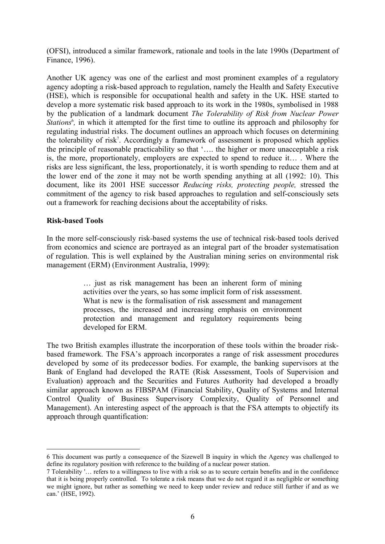<span id="page-8-0"></span>(OFSI), introduced a similar framework, rationale and tools in the late 1990s (Department of Finance, 1996).

Another UK agency was one of the earliest and most prominent examples of a regulatory agency adopting a risk-based approach to regulation, namely the Health and Safety Executive (HSE), which is responsible for occupational health and safety in the UK. HSE started to develop a more systematic risk based approach to its work in the 1980s, symbolised in 1988 by the publication of a landmark document *The Tolerability of Risk from Nuclear Power Stations<sup>6</sup>*, in which it attempted for the first time to outline its approach and philosophy for regulating industrial risks. The document outlines an approach which focuses on determining the tolerability of risk<sup>7</sup>. Accordingly a framework of assessment is proposed which applies the principle of reasonable practicability so that '…. the higher or more unacceptable a risk is, the more, proportionately, employers are expected to spend to reduce it… . Where the risks are less significant, the less, proportionately, it is worth spending to reduce them and at the lower end of the zone it may not be worth spending anything at all (1992: 10). This document, like its 2001 HSE successor *Reducing risks, protecting people,* stressed the commitment of the agency to risk based approaches to regulation and self-consciously sets out a framework for reaching decisions about the acceptability of risks.

#### **Risk-based Tools**

 $\overline{a}$ 

In the more self-consciously risk-based systems the use of technical risk-based tools derived from economics and science are portrayed as an integral part of the broader systematisation of regulation. This is well explained by the Australian mining series on environmental risk management (ERM) (Environment Australia, 1999):

> … just as risk management has been an inherent form of mining activities over the years, so has some implicit form of risk assessment. What is new is the formalisation of risk assessment and management processes, the increased and increasing emphasis on environment protection and management and regulatory requirements being developed for ERM.

The two British examples illustrate the incorporation of these tools within the broader riskbased framework. The FSA's approach incorporates a range of risk assessment procedures developed by some of its predecessor bodies. For example, the banking supervisors at the Bank of England had developed the RATE (Risk Assessment, Tools of Supervision and Evaluation) approach and the Securities and Futures Authority had developed a broadly similar approach known as FIBSPAM (Financial Stability, Quality of Systems and Internal Control Quality of Business Supervisory Complexity, Quality of Personnel and Management). An interesting aspect of the approach is that the FSA attempts to objectify its approach through quantification:

<sup>6</sup> This document was partly a consequence of the Sizewell B inquiry in which the Agency was challenged to define its regulatory position with reference to the building of a nuclear power station.

<sup>7</sup> Tolerability '… refers to a willingness to live with a risk so as to secure certain benefits and in the confidence that it is being properly controlled. To tolerate a risk means that we do not regard it as negligible or something we might ignore, but rather as something we need to keep under review and reduce still further if and as we can.' (HSE, 1992).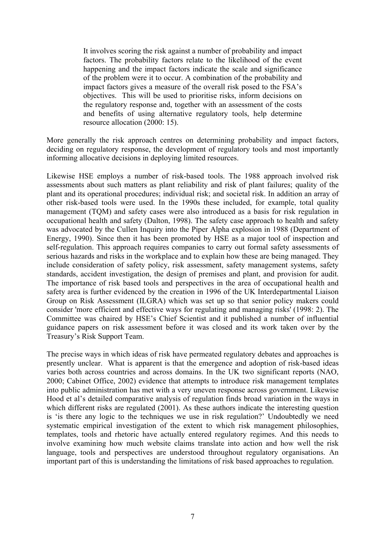It involves scoring the risk against a number of probability and impact factors. The probability factors relate to the likelihood of the event happening and the impact factors indicate the scale and significance of the problem were it to occur. A combination of the probability and impact factors gives a measure of the overall risk posed to the FSA's objectives. This will be used to prioritise risks, inform decisions on the regulatory response and, together with an assessment of the costs and benefits of using alternative regulatory tools, help determine resource allocation (2000: 15).

More generally the risk approach centres on determining probability and impact factors, deciding on regulatory response, the development of regulatory tools and most importantly informing allocative decisions in deploying limited resources.

Likewise HSE employs a number of risk-based tools. The 1988 approach involved risk assessments about such matters as plant reliability and risk of plant failures; quality of the plant and its operational procedures; individual risk; and societal risk. In addition an array of other risk-based tools were used. In the 1990s these included, for example, total quality management (TQM) and safety cases were also introduced as a basis for risk regulation in occupational health and safety (Dalton, 1998). The safety case approach to health and safety was advocated by the Cullen Inquiry into the Piper Alpha explosion in 1988 (Department of Energy, 1990). Since then it has been promoted by HSE as a major tool of inspection and self-regulation. This approach requires companies to carry out formal safety assessments of serious hazards and risks in the workplace and to explain how these are being managed. They include consideration of safety policy, risk assessment, safety management systems, safety standards, accident investigation, the design of premises and plant, and provision for audit. The importance of risk based tools and perspectives in the area of occupational health and safety area is further evidenced by the creation in 1996 of the UK Interdepartmental Liaison Group on Risk Assessment (ILGRA) which was set up so that senior policy makers could consider 'more efficient and effective ways for regulating and managing risks' (1998: 2). The Committee was chaired by HSE's Chief Scientist and it published a number of influential guidance papers on risk assessment before it was closed and its work taken over by the Treasury's Risk Support Team.

The precise ways in which ideas of risk have permeated regulatory debates and approaches is presently unclear. What is apparent is that the emergence and adoption of risk-based ideas varies both across countries and across domains. In the UK two significant reports (NAO, 2000; Cabinet Office, 2002) evidence that attempts to introduce risk management templates into public administration has met with a very uneven response across government. Likewise Hood et al's detailed comparative analysis of regulation finds broad variation in the ways in which different risks are regulated (2001). As these authors indicate the interesting question is 'is there any logic to the techniques we use in risk regulation?' Undoubtedly we need systematic empirical investigation of the extent to which risk management philosophies, templates, tools and rhetoric have actually entered regulatory regimes. And this needs to involve examining how much website claims translate into action and how well the risk language, tools and perspectives are understood throughout regulatory organisations. An important part of this is understanding the limitations of risk based approaches to regulation.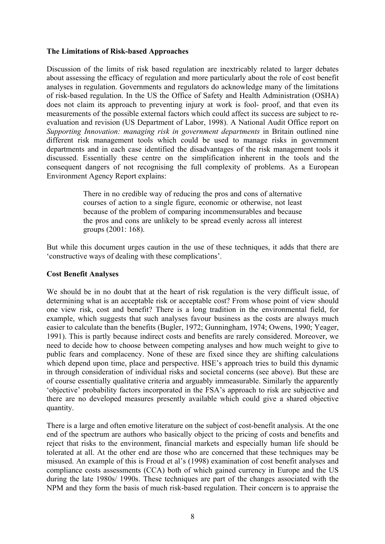# <span id="page-10-0"></span>**The Limitations of Risk-based Approaches**

Discussion of the limits of risk based regulation are inextricably related to larger debates about assessing the efficacy of regulation and more particularly about the role of cost benefit analyses in regulation. Governments and regulators do acknowledge many of the limitations of risk-based regulation. In the US the Office of Safety and Health Administration (OSHA) does not claim its approach to preventing injury at work is fool- proof, and that even its measurements of the possible external factors which could affect its success are subject to reevaluation and revision (US Department of Labor, 1998). A National Audit Office report on *Supporting Innovation: managing risk in government departments* in Britain outlined nine different risk management tools which could be used to manage risks in government departments and in each case identified the disadvantages of the risk management tools it discussed. Essentially these centre on the simplification inherent in the tools and the consequent dangers of not recognising the full complexity of problems. As a European Environment Agency Report explains:

> There in no credible way of reducing the pros and cons of alternative courses of action to a single figure, economic or otherwise, not least because of the problem of comparing incommensurables and because the pros and cons are unlikely to be spread evenly across all interest groups (2001: 168).

But while this document urges caution in the use of these techniques, it adds that there are 'constructive ways of dealing with these complications'.

### **Cost Benefit Analyses**

We should be in no doubt that at the heart of risk regulation is the very difficult issue, of determining what is an acceptable risk or acceptable cost? From whose point of view should one view risk, cost and benefit? There is a long tradition in the environmental field, for example, which suggests that such analyses favour business as the costs are always much easier to calculate than the benefits (Bugler, 1972; Gunningham, 1974; Owens, 1990; Yeager, 1991). This is partly because indirect costs and benefits are rarely considered. Moreover, we need to decide how to choose between competing analyses and how much weight to give to public fears and complacency. None of these are fixed since they are shifting calculations which depend upon time, place and perspective. HSE's approach tries to build this dynamic in through consideration of individual risks and societal concerns (see above). But these are of course essentially qualitative criteria and arguably immeasurable. Similarly the apparently 'objective' probability factors incorporated in the FSA's approach to risk are subjective and there are no developed measures presently available which could give a shared objective quantity.

There is a large and often emotive literature on the subject of cost-benefit analysis. At the one end of the spectrum are authors who basically object to the pricing of costs and benefits and reject that risks to the environment, financial markets and especially human life should be tolerated at all. At the other end are those who are concerned that these techniques may be misused. An example of this is Froud et al's (1998) examination of cost benefit analyses and compliance costs assessments (CCA) both of which gained currency in Europe and the US during the late 1980s/ 1990s. These techniques are part of the changes associated with the NPM and they form the basis of much risk-based regulation. Their concern is to appraise the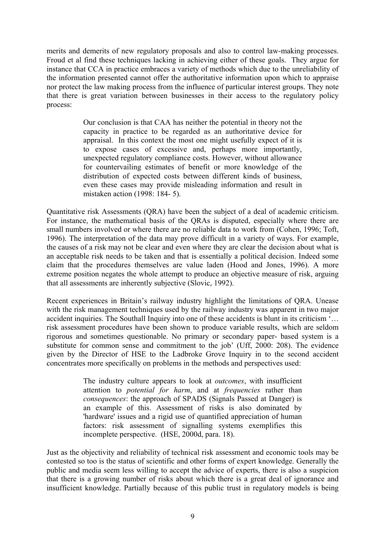<span id="page-11-0"></span>merits and demerits of new regulatory proposals and also to control law-making processes. Froud et al find these techniques lacking in achieving either of these goals. They argue for instance that CCA in practice embraces a variety of methods which due to the unreliability of the information presented cannot offer the authoritative information upon which to appraise nor protect the law making process from the influence of particular interest groups. They note that there is great variation between businesses in their access to the regulatory policy process:

> Our conclusion is that CAA has neither the potential in theory not the capacity in practice to be regarded as an authoritative device for appraisal. In this context the most one might usefully expect of it is to expose cases of excessive and, perhaps more importantly, unexpected regulatory compliance costs. However, without allowance for countervailing estimates of benefit or more knowledge of the distribution of expected costs between different kinds of business, even these cases may provide misleading information and result in mistaken action (1998: 184- 5).

Quantitative risk Assessments (QRA) have been the subject of a deal of academic criticism. For instance, the mathematical basis of the QRAs is disputed, especially where there are small numbers involved or where there are no reliable data to work from (Cohen, 1996; Toft, 1996). The interpretation of the data may prove difficult in a variety of ways. For example, the causes of a risk may not be clear and even where they are clear the decision about what is an acceptable risk needs to be taken and that is essentially a political decision. Indeed some claim that the procedures themselves are value laden (Hood and Jones, 1996). A more extreme position negates the whole attempt to produce an objective measure of risk, arguing that all assessments are inherently subjective (Slovic, 1992).

Recent experiences in Britain's railway industry highlight the limitations of QRA. Unease with the risk management techniques used by the railway industry was apparent in two major accident inquiries. The Southall Inquiry into one of these accidents is blunt in its criticism '… risk assessment procedures have been shown to produce variable results, which are seldom rigorous and sometimes questionable. No primary or secondary paper- based system is a substitute for common sense and commitment to the job' (Uff, 2000: 208). The evidence given by the Director of HSE to the Ladbroke Grove Inquiry in to the second accident concentrates more specifically on problems in the methods and perspectives used:

> The industry culture appears to look at *outcomes*, with insufficient attention to *potential for harm*, and at *frequencies* rather than *consequences*: the approach of SPADS (Signals Passed at Danger) is an example of this. Assessment of risks is als[o](#page-11-1) dominated by 'hardware' issues and a rigid use of quantified appreciation of human factors: risk assessment of signalling systems exemplifies this incomplete perspective. (HSE, 2000d, para. 18).

<span id="page-11-1"></span>Just as the objectivity and reliability of technical risk assessment and economic tools may be contested so too is the status of scientific and other forms of expert knowledge. Generally the public and media seem less willing to accept the advice of experts, there is also a suspicion that there is a growing number of risks about which there is a great deal of ignorance and insufficient knowledge. Partially because of this public trust in regulatory models is being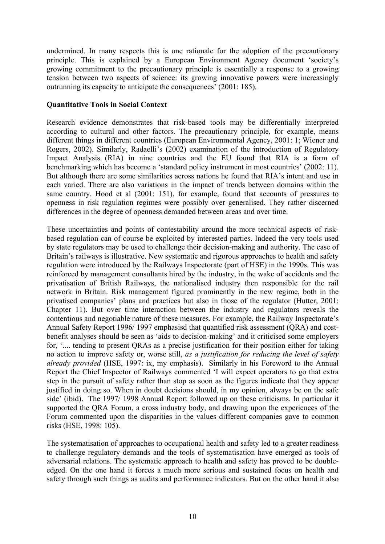undermined. In many respects this is one rationale for the adoption of the precautionary principle. This is explained by a European Environment Agency document 'society's growing commitment to the precautionary principle is essentially a response to a growing tension between two aspects of science: its growing innovative powers were increasingly outrunning its capacity to anticipate the consequences' (2001: 185).

# **Quantitative Tools in Social Context**

Research evidence demonstrates that risk-based tools may be differentially interpreted according to cultural and other factors. The precautionary principle, for example, means different things in different countries (European Environmental Agency, 2001: 1; Wiener and Rogers, 2002). Similarly, Radaelli's (2002) examination of the introduction of Regulatory Impact Analysis (RIA) in nine countries and the EU found that RIA is a form of benchmarking which has become a 'standard policy instrument in most countries' (2002: 11). But although there are some similarities across nations he found that RIA's intent and use in each varied. There are also variations in the impact of trends between domains within the same country. Hood et al (2001: 151), for example, found that accounts of pressures to openness in risk regulation regimes were possibly over generalised. They rather discerned differences in the degree of openness demanded between areas and over time.

These uncertainties and points of contestability around the more technical aspects of riskbased regulation can of course be exploited by interested parties. Indeed the very tools used by state regulators may be used to challenge their decision-making and authority. The case of Britain's railways is illustrative. New systematic and rigorous approaches to health and safety regulation were introduced by the Railways Inspectorate (part of HSE) in the 1990s. This was reinforced by management consultants hired by the industry, in the wake of accidents and the privatisation of British Railways, the nationalised industry then responsible for the rail network in Britain. Risk management figured prominently in the new regime, both in the privatised companies' plans and practices but also in those of the regulator (Hutter, 2001: Chapter 11). But over time interaction between the industry and regulators reveals the contentious and negotiable nature of these measures. For example, the Railway Inspectorate's Annual Safety Report 1996/ 1997 emphasisd that quantified risk assessment (QRA) and costbenefit analyses should be seen as 'aids to decision-making' and it criticised some employers for, '.... tending to present QRAs as a precise justification for their position either for taking no action to improve safety or, worse still, *as a justification for reducing the level of safety already provided* (HSE, 1997: ix, my emphasis). Similarly in his Foreword to the Annual Report the Chief Inspector of Railways commented 'I will expect operators to go that extra step in the pursuit of safety rather than stop as soon as the figures indicate that they appear justified in doing so. When in doubt decisions should, in my opinion, always be on the safe side' (ibid). The 1997/ 1998 Annual Report followed up on these criticisms. In particular it supported the QRA Forum, a cross industry body, and drawing upon the experiences of the Forum commented upon the disparities in the values different companies gave to common risks (HSE, 1998: 105).

The systematisation of approaches to occupational health and safety led to a greater readiness to challenge regulatory demands and the tools of systematisation have emerged as tools of adversarial relations. The systematic approach to health and safety has proved to be doubleedged. On the one hand it forces a much more serious and sustained focus on health and safety through such things as audits and performance indicators. But on the other hand it also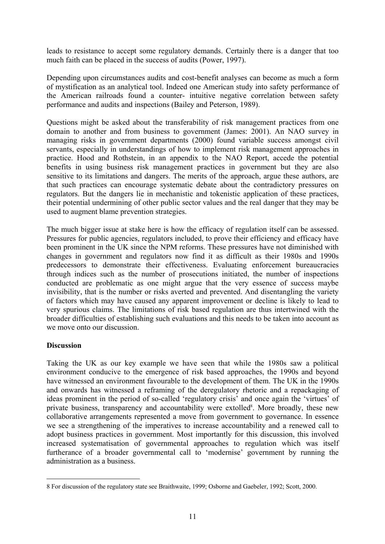leads to resistance to accept some regulatory demands. Certainly there is a danger that too much faith can be placed in the success of audits (Power, 1997).

Depending upon circumstanc[es audits and cost-benefit](http://apra.gov.au/About) analys[es](#page-13-0) can become as much a form of mystification as an analytical tool. Indeed one American study into safety performance of the American railroads found a counter- intuitive negative correlation between safety performance and audits and inspections (Bailey and Peterson, 1989).

Questions might be asked about the transferability of risk management practices from one domain to another and from business to government (James: 2001). An NAO survey in managing risks in government departments (2000) found variable success amongst civil servants, especially in understandings of how to implement risk management approaches in practice. Hood and Rothstein, in an appendix to the NAO Report, accede the potential benefits in using business risk management practices in government but they are also sensitive to its limitations and dangers. The merits of the approach, argue these authors, are that such practices can encourage systematic debate about the contradictory pressures on regulators. But the dangers lie in mechanistic and tokenistic application of these practices, their potential undermining of other public sector values and the real danger that they may be used to augment blame prevention strategies.

The much bigger issue at stake here is how the efficacy of regulation itself can be assessed. Pressures for public agencies, regulators included, to prove their efficiency and efficacy have been prominent in the UK since the NPM reforms. These pressures have not diminished with changes in government and regulators now find it as difficult as their 1980s and 1990s predecessors to demonstrate their effectiveness. Evaluating enforcement bureaucracies through indices such as the number of prosecutions initiated, the number of inspections conducted are problematic as one might argue that the very essence of success maybe invisibility, that is the number or risks averted and prevented. And disentangling the variety of factors which may have caused any apparent improvement or decline is likely to lead to very spurious claims. The limitations of risk based regulation are thus intertwined with the broader difficulties of establishing such evaluations and this needs to be taken into account as we move onto our discussion.

### **Discussion**

 $\overline{a}$ 

Taking the UK as our key example we have seen that while the 1980s saw a political environment conducive to the emergence of risk based approaches, the 1990s and beyond have witnessed an environment favourable to the development of them. The UK in the 1990s and onwards has witnessed a reframing of the deregulatory rhetoric and a repackaging of ideas prominent in the period of so-called 'regulatory crisis' and once again the 'virtues' of private business, transparency and accountability were extolled<sup>8</sup>. More broadly, these new collaborative arrangements represented a move from government to governance. In essence we see a strengthening of the imperatives to increase accountability and a renewed call to adopt business practices in government. Most importantly for this discussion, this involved increased systematisation of governmental approaches to regulation which was itself furtherance of a broader governmental call to 'modernise' government by running the administration as a business.

<span id="page-13-0"></span><sup>8</sup> For discussion of the regulatory state see Braithwaite, 1999; Osborne and Gaebeler, 1992; Scott, 2000.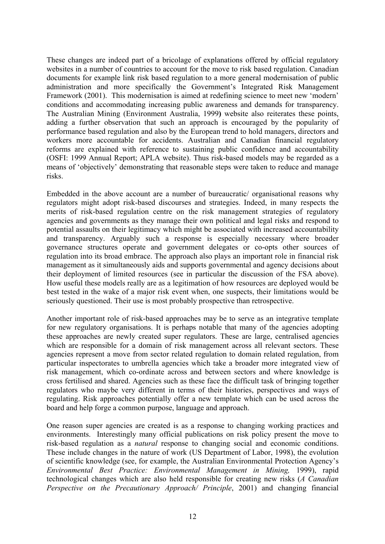<span id="page-14-0"></span>These changes are indeed part of a bricolage of explanations offered by official regulatory websites in a number of countries to account for the move to risk based regulation. Canadian documents for example link risk based regulation to a more general modernisation of public administration and more specifically the Government's Integrated Risk Management Framework (2001). This modernisation is aimed at redefining science to meet new 'modern' conditions and accommodating increasing public awareness and demands for transparency. The Australian Mining (Environment Australia, 1999**)** website also reiterates these points, adding a further observation that such an approach is encouraged by the popularity of performance based regulation and also by the European trend to hold managers, directors and workers more accountable for accidents. Australian and Canadian financial regulatory reforms are explained with reference to sustaining public confidence and accountability (OSFI: 1999 Annual Report; APLA website). Thus risk-based models may be regarded as a means of 'objectively' demonstrating that reasonable steps were taken to reduce and manage risks.

Embedded in the above account are a number of bureaucratic/ organisational reasons why regulators might adopt risk-based discourses and strategies. Indeed, in many respects the merits of risk-based regulation centre on the risk management strategies of regulatory agencies and governments as they manage their own political and legal risks and respond to potential assaults on their legitimacy which might be associated with increased accountability and transparency. Arguably such a response is especially necessary where broader governance structures operate and government delegates or co-opts other sources of regulation into its broad embrace. The approach also plays an important role in financial risk management as it simultaneously aids and supports governmental and agency decisions about their deployment of limited resources (see in particular the discussion of the FSA above). How useful these models really are as a legitimation of how resources are deployed would be best tested in the wake of a major risk event when, one suspects, their limitations would be seriously questioned. Their use is most probably prospective than retrospective.

Another important role of risk-based approaches may be to serve as an integrative template for new regulatory organisations. It is perhaps notable that many of the agencies adopting these approaches are newly created super regulators. These are large, centralised agencies which are responsible for a domain of risk management across all relevant sectors. These agencies represent a move from sector related regulation to domain related regulation, from particular inspectorates to umbrella agencies which take a broader more integrated view of [risk management, which co-ordinate across and between sectors an](http://www.worldbank.org/html/fpd/privatesector/cg/docs/cadbury.pdf)d where knowledge is cross fertilised and shared. Agencies such as these face the difficult task of bringing together regulators who maybe very different in terms of their histories, perspectives and ways of regulating. Risk approaches potentially offer a new template which can be used across the board and help forge a common purpose, language and approach.

One reason super agencies are created is as a response to changing working practices and environments. Interestingly many official publications on risk policy present the move to risk-based regulation as a *natural* response to changing social and economic conditions. These include changes in the nature of work (US Department of Labor, 1998), the evolution of scientific knowledge (see, for example, the Australian Environmental Protection Agency's *Environmental Best Practice: Environmental Management in Mining,* 1999), rapid technological changes which are also held responsible for creating new risks (*A Canadian [Perspective on the Precautionary Approach/ Principle](http://reports.eea.eu.int/environmental_issue_report_2001_22/en)*, 2001) and changing financial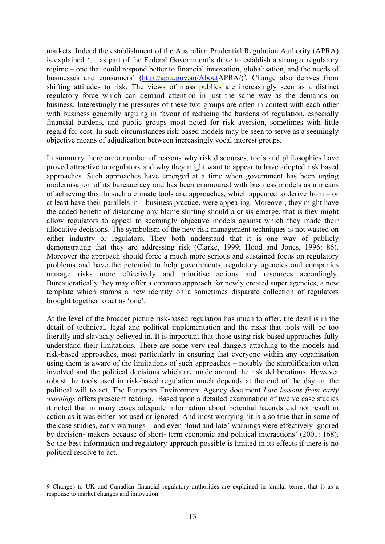markets. Indeed the establishment of the Australian Prudential Regulation Authority (APRA) is explained '… as part of the Federal Government's drive to establish a stronger regulatory regime – one that could respond better to financial innovation, globalisation, and the needs of businesses and consumers' (http://apra.gov.au/AboutAPRA/)<sup>9</sup>. Change also derives from shifting attitudes to risk. The views of mass publics are increasingly seen as a distinct regulatory force which can demand attention in just the same way as the demands on business. Interestingly the pressures of these two groups are often in contest with each other with business generally arguing in favour of reducing the burdens of regulation, especially financial burdens, and public groups most noted for risk aversion, sometimes with little regard for cost. In such circumstances risk-based models may be seen to serve as a seemingly objective means of adjudication between increasingly vocal interest groups.

In summary there are a number of reasons why risk discourses, tools and philosophies have proved attractive to regulators and why they might want to appear to have adopted risk based approaches. Such approaches have emerged at a time when government has been urging modernisation of its bureaucracy and has been enamoured with business models as a means of achieving this. In such a climate tools and approaches, which appeared to derive from – or at least have their parallels in – business practice, were appealing. Moreover, they might have the added benefit of distancing any blame shifting should a crisis emerge, that is they might allow regulators to appeal to seemingly objective models against which they made their allocative decisions. The symbolism of the new risk management techniques is not wasted on either industry or regulators. They both understand that it is one way of publicly demonstrating that they are addressing risk (Clarke, 1999; Hood and Jones, 1996: 86). Moreover the approach should force a much more serious and sustained focus on regulatory problems and have the potential to help governments, regulatory agencies and companies manage risks more effectively and prioritise actions and resources accordingly. Bureaucratically they may offer a common approach for newly created super agencies, a new template which stamps a new identity on a sometimes disparate collection of regulators brought together to act as 'one'.

At the level of the broader picture risk-based regulation has much to offer, the devil is in the detail of technical, legal and political implementation and the risks that tools will be too literally and slavishly believed in. It is important that those using risk-based approaches fully understand their limitations. There are some very real dangers attaching to the models and risk-based approaches, most particularly in ensuring that everyone within any organisation using them is aware of the limitations of such approaches – notably the simplification often involved and the political decisions which are made around the risk deliberations. However robust the tools used in risk-based regulation much depends at the end of the day on the political will to act. The European Environment Agency document *Late lessons from early warnings* offers prescient reading. Based upon a detailed examination of twelve case studies it noted that in many cases adequate information about potential hazards did not result in action as it was either not used or ignored. And most worrying 'it is also true that in some of the case studies, early warnings – and even 'loud and late' warnings were effectively ignored by decision- makers because of short- term economic and political interactions' (2001: 168). So the best information and regulatory approach possible is limited in its effects if there is no political resolve to act.

 $\overline{a}$ 

<sup>9</sup> Changes to UK and Canadian financial regulatory authorities are explained in similar terms, that is as a response to market changes and innovation.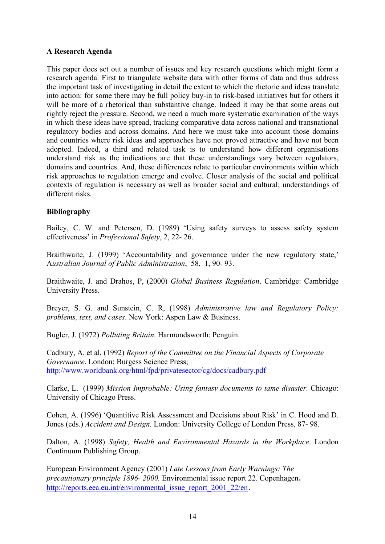# <span id="page-16-0"></span>**A Research Agenda**

This paper does set out a number of issues and key research questions which might form a research agenda. First to triangulate website data with other forms of data and thus address the important task of investigating in detail the extent to which the rhetoric and ideas translate into action: for some there may be full policy buy-in to risk-based initiatives but for others it will be more of a rhetorical than substantive change. Indeed it may be that some areas out rightly reject the pressure. Second, we need a much more systematic examination of the ways in which these ideas have spread, tracking comparative data across national and transnational regulatory bodies and across domains. And here we must take into account those domains and countries where risk ideas and approaches have not proved attractive and have not been adopted. Indeed, a third and related task is to understand how different organisations understand risk as the indications are that these understandings vary between regulators, domains and countries. And, these differences relate to particular environments within which risk approaches to regulation emerge and evolve. Closer analysis of the social and political contexts of regulation is necessary as well as broader social and cultural; understandings of different risks.

# **Bibliography**

Bailey, C. W. and Petersen, D. (1989) 'Using safety surveys to assess safety system effectiveness' in *Professional Safety*, 2, 22- 26.

Braithwaite, J. (1999) 'Accountability and governance under the new regulatory state,' A*ustralian Journal of Public Administration*, 58, 1, 90- 93.

Braithwaite, J. and Drahos, P, (2000) *Global Business Regulation*. Cambridge: Cambridge University Press.

Breyer, S. G. and Sunstein, C. R, (1998) *Administrative law and Regulatory Policy: problems, text, and cases*. New York: Aspen Law & Business.

Bugler, J. (1972) *Polluting Britain*. Harmondsworth: Penguin.

Cadbury, A. et al, (1992) *Report of the Committee on the Financial Aspects of Corporate Governance*. London: Burgess Science Press; http://www.worldbank.org/html/fpd/privatesector/cg/docs/cadbury.pdf

[Clarke, L. \(1999\)](http://www.env.duke.edu/solutions/documents/pp-eu_us_jrr_2002_03_25.pdf) *Mission Improbable: U[sing fantasy documents to tame disaster.](http://www.env.duke.edu/solutions/documents/pp-eu_us_jrr_2002_03_25.pdf)* Chicago: University of Chicago Press.

Cohen, A. (1996) 'Quantitive Risk Assessment and Decisions about Risk' in C. Hood and D. Jones (eds.) *Accident and Design.* London: University College of London Press, 87- 98.

Dalton, A. (1998) *Safety, Health and Environmental Hazards in the Workplace*. London Continuum Publishing Group.

[European Environment Agency \(2001\)](http://www.ea.gov.au/industry/sustainable/mining/booklets/erm/index.html) *Late Lessons from Early Warnings: The precautionary principle 1896- 2000.* Environmental issue report 22. Copenhagen. http://reports.eea.eu.int/environmental\_issue\_report\_2001\_22/en.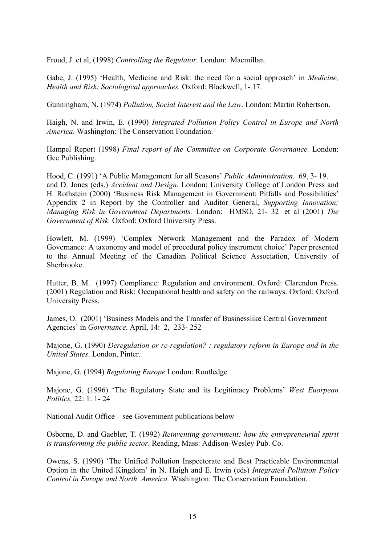[Froud, J. et al, \(1998\)](http://www.apra.gov.au/AboutAPRA/) *Controlling the Regulator.* London: Macmillan.

Gabe, J. (1995) 'Health, Medicine and Risk: the need for a social approach' in *Medicine, [Health and Risk: Sociological approach](http://www.hvbg.de/e/pages/arbeit.htm)es.* Oxford: Blackwell, 1- 17.

Gunningham, N. (1974) *Pollution, Social Interest and the Law*. London: Martin Robertson.

Haigh, N. and Irwin, E. (1990) *[Integrated Pollution Policy C](http://www.fin.gc.ca/afr/1996/afr96e.pdf)ontrol in Europe and North America*. Washington: The Conse[rvation Foundation.](http://www.fin.gc.ca/toce/1996/fsl-e.html) 

[Hampel](http://www.fin.gc.ca/toce/1996/fsl-e.html) Report (1998) *[Final report of the Comm](http://www.fin.gc.ca/toce/1996/fsl-e.html)ittee on Corporate Governance.* London: Gee Publishing.

[Hood, C. \(1991\) 'A Public Management for all Seasons'](http://www.tbs-sct.gc.ca/pubs_pol/dcgpubs/RiskManagement/rmf-cgr01-1_e.html) *Public Administration.* 69, 3- 19. and D. Jones (eds.) *Accident and Design.* London: University College of London Press and H. Rothstein (2000) 'Business Risk Management in Government: Pitfalls and Possibilities' [Appendix 2 in Report by the Controller and Auditor General,](http://www.cabinet-office.gov.uk/moderngov/download/modgov.pdf) *Supporting Innovation: Managing Risk in Government Departments.* London: HMSO, 21- 32 et al (2001) *The Government of Risk.* Oxford: Oxford University Press.

Howlett, M. (1999) 'Complex Network Management and the Paradox of Modern Governance: A taxonomy and model of procedural policy instrument choice' Paper presented to the Annual Meeting of the Canadian Political Science Association, University of [Sherbrooke.](http://www.defra.gov.uk/corporate/busplan/riskmanage/riskmanage.pdf) 

Hutter, B. M. (1997) Compliance: Regulation and environment. Oxford: Clarendon Press. (2001) Regulation and Risk: Occupational health and safety on the railways. Oxford: Oxford [University Press.](http://www.defra.gov.uk/corporate/prospectus/defrawork.pdf) 

James, O. (2001) 'Business Models and the Transfer of Businesslike Central Government Agencies' in *Governance*[. April, 14: 2, 233- 252](http://www.environment-agency.gov.uk/business/444217/444661/571853/) 

Majone, G. (1990) *Deregulation or re-regulation? : regulatory ref[orm in Europe and in the](http://www.environment-agency.gov.uk/science/922300/923624/927393/) United States*[. London, Pinter.](http://www.environment-agency.gov.uk/science/922300/923624/927393/) 

Majone, G. (1994) *Regulating Europe* [London: Routledge](http://www.fsa.gov.uk/pubs/plan/pb2000_01.pdf)

Majone, G. (1996) 'The Re[gulatory State and its Legitimacy Problem](http://www.fsa.gov.uk/pubs/policy/p29.pdf)s' *West Euorpean Politics,* 22: 1: 1- 24

National Audit Office – see Government publications below

Osborne, D. and Gaebler, T. (1992) *Reinventing government: how the entrepreneurial spirit is transforming the public sector*. Reading, Mass: Addison-Wesley Pub. Co.

Owens, S. (1990) 'The Unified Pollution Inspectorate and Best Practicable Environmental Option in the United Kingdom' in N. Haigh and E. Irwin (eds) *Integrated Pollution Policy Control in Europe and North America.* Washington: The Conservation Foundation.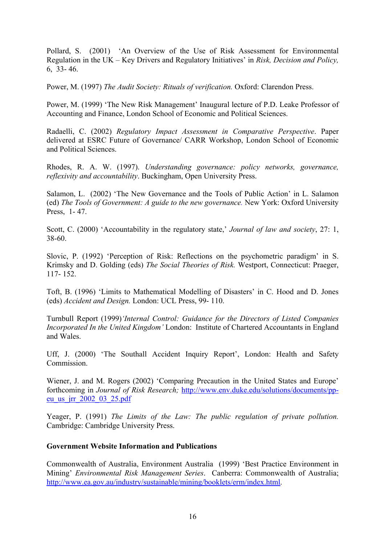Pollard, S. (2001) 'An Overview of the Use of Risk Assessment for Environmental Regulation in the UK – Key Drivers and Regulatory Initiatives' in *Risk, Decision and Policy,*  6, 33- 46.

Power, M. (1997) *The Audit Society: Rituals of verification.* Oxford: Clarendon Press.

Power, M. (1999) 'The New Risk Management' Inaugural lecture of P.D. Leake Professor of [Accounting and Finance, London School of Economic and Po](http://www.nao.gov.uk/publications/nao_reports/9900864.pdf)litical Sciences.

Radaelli, C. (2002) *Regulatory Impact Assessment in Comparative Perspective*. Paper delivered at ESRC Future of Governance/ CARR Workshop, London School of Economic and Political [Sciences.](http://www.osha.gov/oshinfo/strategic/toc.html) 

Rhodes, R. A. W. (1997). *Understanding governance: policy networks, governance, reflexivity and accountability*[. Buckingham, Open University](http://www.epa.gov/history/topics/risk/01.htm) Press.

Salamon, L. (2002) 'The New Governance and the Tools of Public Action' in L. Salamon (ed) *The Tools of Government: A guide to the new governance.* New York: Oxford University Press, 1- 47.

Scott, C. (2000) 'Accountability in the regulatory state,' *Journal of law and society*, 27: 1, 38-60.

Slovic, P. (1992) 'Perception of Risk: Reflections on the psychometric paradigm' in S. Krimsky and D. Golding (eds) *The Social Theories of Risk.* Westport, Connecticut: Praeger, 117- 152.

Toft, B. (1996) 'Limits to Mathematical Modelling of Disasters' in C. Hood and D. Jones (eds) *Accident and Design.* London: UCL Press, 99- 110.

Turnbull Report (1999)*'Internal Control: Guidance for the Directors of Listed Companies Incorporated In the United Kingdom'* London: Institute of Chartered Accountants in England and Wales.

Uff, J. (2000) 'The Southall Accident Inquiry Report', London: Health and Safety **Commission** 

Wiener, J. and M. Rogers (2002) 'Comparing Precaution in the United States and Europe' forthcoming in *Journal of Risk Research;* http://www.env.duke.edu/solutions/documents/ppeu\_us\_jrr\_2002\_03\_25.pdf

Yeager, P. (1991) *The Limits of the Law: The public regulation of private pollution.* Cambridge: Cambridge University Press.

# **Government Website Information and Publications**

Commonwealth of Australia, Environment Australia (1999) 'Best Practice Environment in Mining' *Environmental Risk Management Series*. Canberra: Commonwealth of Australia; http://www.ea.gov.au/industry/sustainable/mining/booklets/erm/index.html.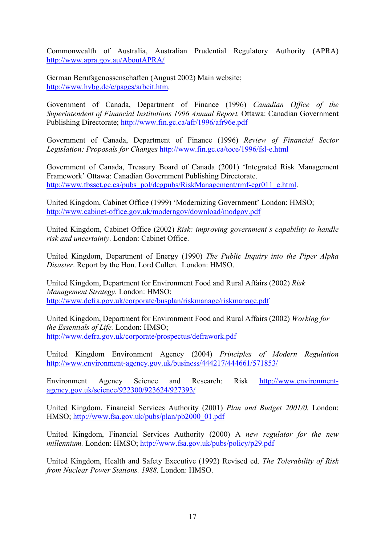Commonwealth of Australia, Australian Prudential Regulatory Authority (APRA) http://www.apra.gov.au/AboutAPRA/

German Beruf[sgenossenschaften \(August 2002\) Main website;](http://www.lse.ac.uk/collections/CARR/documents/discussionPapers.htm)  http://www.hvbg.de/e/pages/arbeit.htm.

Government of Canada, Department of Finance (1996) *Canadian Office of the Superintendent of Financial Institutions 1996 Annual Report.* Ottawa: Canadian Government Publishing Directorate; http://www.fin.gc.ca/afr/1996/afr96e.pdf

Government of Canada, Department of Finance (1996) *Review of Financial Sector Legislation: Proposals for Changes* http://www.fin.gc.ca/toce/1996/fsl-e.html

Government of Canada, Treasury Board of Canada (2001) 'Integrated Risk Management Framework' Ottawa: Canadian Government Publishing Directorate. http://www.tbssct.gc.ca/pubs\_pol/dcgpubs/RiskManagement/rmf-cgr011\_e.html.

United Kingdom, Cabinet Office (1999) 'Modernizing Government' London: HMSO; http://www.cabinet-office.gov.uk/moderngov/download/modgov.pdf

United Kingdom, Cabinet Office (2002) *Risk: improving government's capability to handle risk and uncertainty*. London: Cabinet Office.

United Kingdom, Department of Energy (1990) *The Public Inquiry into the Piper Alpha Disaster*. Report by the Hon. Lord Cullen. London: HMSO.

United Kingdom, Department for Environment Food and Rural Affairs (2002) *Risk Management Strategy.* London: HMSO; http://www.defra.gov.uk/corporate/busplan/riskmanage/riskmanage.pdf

United Kingdom, Department for Environment Food and Rural Affairs (2002) *Working for the Essentials of Life.* London: HMSO; http://www.defra.gov.uk/corporate/prospectus/defrawork.pdf

United Kingdom Environment Agency (2004) *Principles of Modern Regulation* http://www.environment-agency.gov.uk/business/444217/444661/571853/

Environment Agency Science and Research: Risk http://www.environmentagency.gov.uk/science/922300/923624/927393/

United Kingdom, Financial Services Authority (2001) *Plan and Budget 2001/0.* London: HMSO; http://www.fsa.gov.uk/pubs/plan/pb2000\_01.pdf

United Kingdom, Financial Services Authority (2000) A *new regulator for the new millennium.* London: HMSO; http://www.fsa.gov.uk/pubs/policy/p29.pdf

United Kingdom, Health and Safety Executive (1992) Revised ed. *The Tolerability of Risk from Nuclear Power Stations. 1988.* London: HMSO.